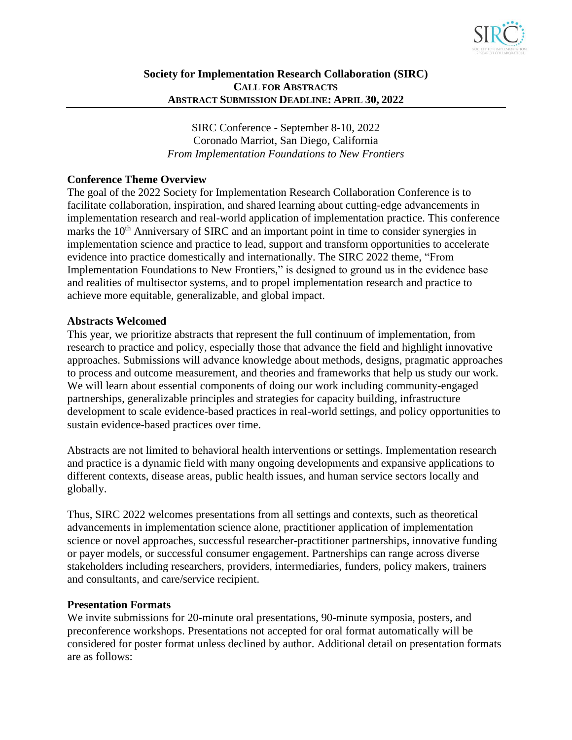

# **Society for Implementation Research Collaboration (SIRC) CALL FOR ABSTRACTS ABSTRACT SUBMISSION DEADLINE: APRIL 30, 2022**

SIRC Conference - September 8-10, 2022 Coronado Marriot, San Diego, California *From Implementation Foundations to New Frontiers*

# **Conference Theme Overview**

The goal of the 2022 Society for Implementation Research Collaboration Conference is to facilitate collaboration, inspiration, and shared learning about cutting-edge advancements in implementation research and real-world application of implementation practice. This conference marks the  $10<sup>th</sup>$  Anniversary of SIRC and an important point in time to consider synergies in implementation science and practice to lead, support and transform opportunities to accelerate evidence into practice domestically and internationally. The SIRC 2022 theme, "From Implementation Foundations to New Frontiers," is designed to ground us in the evidence base and realities of multisector systems, and to propel implementation research and practice to achieve more equitable, generalizable, and global impact.

#### **Abstracts Welcomed**

This year, we prioritize abstracts that represent the full continuum of implementation, from research to practice and policy, especially those that advance the field and highlight innovative approaches. Submissions will advance knowledge about methods, designs, pragmatic approaches to process and outcome measurement, and theories and frameworks that help us study our work. We will learn about essential components of doing our work including community-engaged partnerships, generalizable principles and strategies for capacity building, infrastructure development to scale evidence-based practices in real-world settings, and policy opportunities to sustain evidence-based practices over time.

Abstracts are not limited to behavioral health interventions or settings. Implementation research and practice is a dynamic field with many ongoing developments and expansive applications to different contexts, disease areas, public health issues, and human service sectors locally and globally.

Thus, SIRC 2022 welcomes presentations from all settings and contexts, such as theoretical advancements in implementation science alone, practitioner application of implementation science or novel approaches, successful researcher-practitioner partnerships, innovative funding or payer models, or successful consumer engagement. Partnerships can range across diverse stakeholders including researchers, providers, intermediaries, funders, policy makers, trainers and consultants, and care/service recipient.

#### **Presentation Formats**

We invite submissions for 20-minute oral presentations, 90-minute symposia, posters, and preconference workshops. Presentations not accepted for oral format automatically will be considered for poster format unless declined by author. Additional detail on presentation formats are as follows: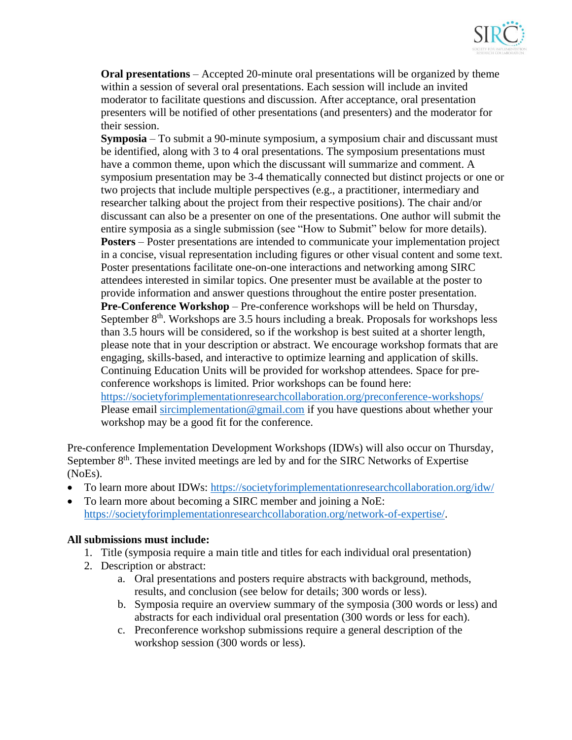

**Oral presentations** – Accepted 20-minute oral presentations will be organized by theme within a session of several oral presentations. Each session will include an invited moderator to facilitate questions and discussion. After acceptance, oral presentation presenters will be notified of other presentations (and presenters) and the moderator for their session.

**Symposia** – To submit a 90-minute symposium, a symposium chair and discussant must be identified, along with 3 to 4 oral presentations. The symposium presentations must have a common theme, upon which the discussant will summarize and comment. A symposium presentation may be 3-4 thematically connected but distinct projects or one or two projects that include multiple perspectives (e.g., a practitioner, intermediary and researcher talking about the project from their respective positions). The chair and/or discussant can also be a presenter on one of the presentations. One author will submit the entire symposia as a single submission (see "How to Submit" below for more details). **Posters** – Poster presentations are intended to communicate your implementation project in a concise, visual representation including figures or other visual content and some text. Poster presentations facilitate one-on-one interactions and networking among SIRC attendees interested in similar topics. One presenter must be available at the poster to provide information and answer questions throughout the entire poster presentation. **Pre-Conference Workshop** – Pre-conference workshops will be held on Thursday, September 8<sup>th</sup>. Workshops are 3.5 hours including a break. Proposals for workshops less than 3.5 hours will be considered, so if the workshop is best suited at a shorter length, please note that in your description or abstract. We encourage workshop formats that are engaging, skills-based, and interactive to optimize learning and application of skills. Continuing Education Units will be provided for workshop attendees. Space for preconference workshops is limited. Prior workshops can be found here: <https://societyforimplementationresearchcollaboration.org/preconference-workshops/> Please email [sircimplementation@gmail.com](mailto:sircimplementation@gmail.com) if you have questions about whether your workshop may be a good fit for the conference.

Pre-conference Implementation Development Workshops (IDWs) will also occur on Thursday, September 8<sup>th</sup>. These invited meetings are led by and for the SIRC Networks of Expertise (NoEs).

- To learn more about IDWs:<https://societyforimplementationresearchcollaboration.org/idw/>
- To learn more about becoming a SIRC member and joining a NoE: [https://societyforimplementationresearchcollaboration.org/network-of-expertise/.](https://societyforimplementationresearchcollaboration.org/network-of-expertise/)

#### **All submissions must include:**

- 1. Title (symposia require a main title and titles for each individual oral presentation)
- 2. Description or abstract:
	- a. Oral presentations and posters require abstracts with background, methods, results, and conclusion (see below for details; 300 words or less).
	- b. Symposia require an overview summary of the symposia (300 words or less) and abstracts for each individual oral presentation (300 words or less for each).
	- c. Preconference workshop submissions require a general description of the workshop session (300 words or less).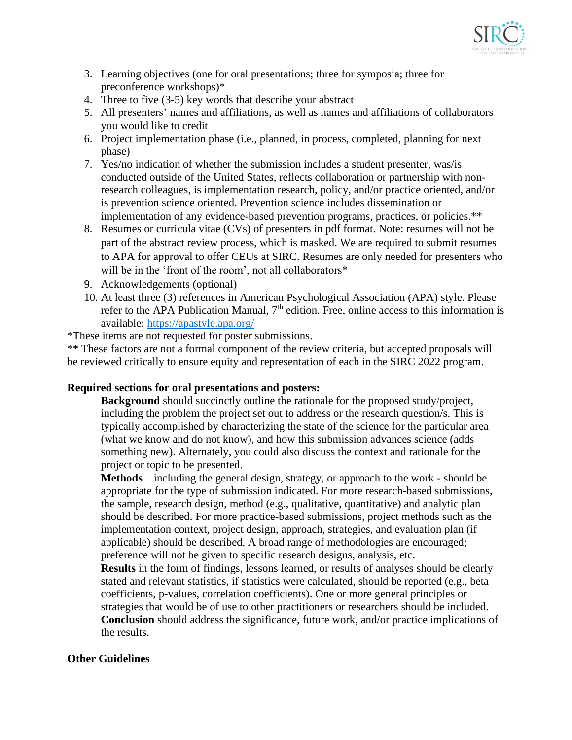

- 3. Learning objectives (one for oral presentations; three for symposia; three for preconference workshops)\*
- 4. Three to five (3-5) key words that describe your abstract
- 5. All presenters' names and affiliations, as well as names and affiliations of collaborators you would like to credit
- 6. Project implementation phase (i.e., planned, in process, completed, planning for next phase)
- 7. Yes/no indication of whether the submission includes a student presenter, was/is conducted outside of the United States, reflects collaboration or partnership with nonresearch colleagues, is implementation research, policy, and/or practice oriented, and/or is prevention science oriented. Prevention science includes dissemination or implementation of any evidence-based prevention programs, practices, or policies.\*\*
- 8. Resumes or curricula vitae (CVs) of presenters in pdf format. Note: resumes will not be part of the abstract review process, which is masked. We are required to submit resumes to APA for approval to offer CEUs at SIRC. Resumes are only needed for presenters who will be in the 'front of the room', not all collaborators<sup>\*</sup>
- 9. Acknowledgements (optional)
- 10. At least three (3) references in American Psychological Association (APA) style. Please refer to the APA Publication Manual,  $7<sup>th</sup>$  edition. Free, online access to this information is available: [https://apastyle.apa.org/](https://urldefense.com/v3/__https:/nam12.safelinks.protection.outlook.com/?url=https*3A*2F*2Fapastyle.apa.org*2F&data=04*7C01*7Celizabeth.connors*40yale.edu*7Ced2aa6646d7440ce4d3008da02cddeaa*7Cdd8cbebb21394df8b4114e3e87abeb5c*7C0*7C0*7C637825380480051859*7CUnknown*7CTWFpbGZsb3d8eyJWIjoiMC4wLjAwMDAiLCJQIjoiV2luMzIiLCJBTiI6Ik1haWwiLCJXVCI6Mn0*3D*7C3000&sdata=XF9oW*2FWa*2FZDfyupAIBAkDq*2BEH3Q4vHWNUeqVGr28*2FEs*3D&reserved=0__;JSUlJSUlJSUlJSUlJSUlJSUlJSUl!!KGKeukY!niTl4ihw_WWsRza_iSP5g0C-naUgO7wcYiChCfBotjB2Zvlrk6eAidTtpYPx2Bd9pVf4GPcHvMF6ReE$)
- \*These items are not requested for poster submissions.

\*\* These factors are not a formal component of the review criteria, but accepted proposals will be reviewed critically to ensure equity and representation of each in the SIRC 2022 program.

#### **Required sections for oral presentations and posters:**

**Background** should succinctly outline the rationale for the proposed study/project, including the problem the project set out to address or the research question/s. This is typically accomplished by characterizing the state of the science for the particular area (what we know and do not know), and how this submission advances science (adds something new). Alternately, you could also discuss the context and rationale for the project or topic to be presented.

**Methods** – including the general design, strategy, or approach to the work - should be appropriate for the type of submission indicated. For more research-based submissions, the sample, research design, method (e.g., qualitative, quantitative) and analytic plan should be described. For more practice-based submissions, project methods such as the implementation context, project design, approach, strategies, and evaluation plan (if applicable) should be described. A broad range of methodologies are encouraged; preference will not be given to specific research designs, analysis, etc.

**Results** in the form of findings, lessons learned, or results of analyses should be clearly stated and relevant statistics, if statistics were calculated, should be reported (e.g., beta coefficients, p-values, correlation coefficients). One or more general principles or strategies that would be of use to other practitioners or researchers should be included. **Conclusion** should address the significance, future work, and/or practice implications of the results.

#### **Other Guidelines**